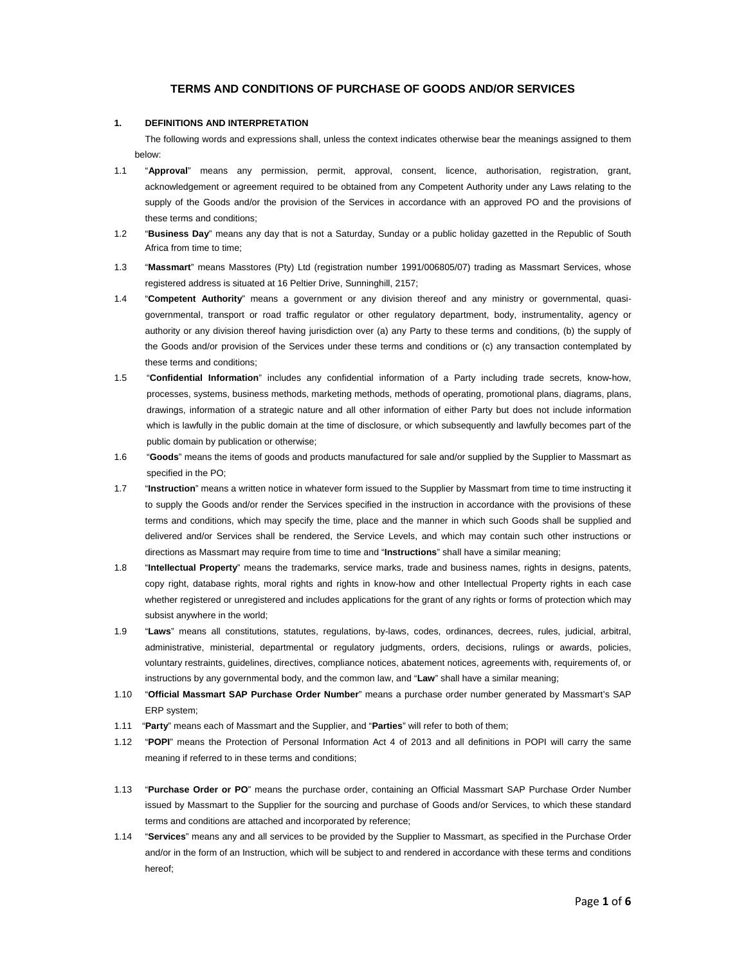# **TERMS AND CONDITIONS OF PURCHASE OF GOODS AND/OR SERVICES**

### **1. DEFINITIONS AND INTERPRETATION**

The following words and expressions shall, unless the context indicates otherwise bear the meanings assigned to them below:

- 1.1 "**Approval**" means any permission, permit, approval, consent, licence, authorisation, registration, grant, acknowledgement or agreement required to be obtained from any Competent Authority under any Laws relating to the supply of the Goods and/or the provision of the Services in accordance with an approved PO and the provisions of these terms and conditions;
- 1.2 "**Business Day**" means any day that is not a Saturday, Sunday or a public holiday gazetted in the Republic of South Africa from time to time;
- 1.3 "**Massmart**" means Masstores (Pty) Ltd (registration number 1991/006805/07) trading as Massmart Services, whose registered address is situated at 16 Peltier Drive, Sunninghill, 2157;
- 1.4 "**Competent Authority**" means a government or any division thereof and any ministry or governmental, quasigovernmental, transport or road traffic regulator or other regulatory department, body, instrumentality, agency or authority or any division thereof having jurisdiction over (a) any Party to these terms and conditions, (b) the supply of the Goods and/or provision of the Services under these terms and conditions or (c) any transaction contemplated by these terms and conditions;
- 1.5 "**Confidential Information**" includes any confidential information of a Party including trade secrets, know-how, processes, systems, business methods, marketing methods, methods of operating, promotional plans, diagrams, plans, drawings, information of a strategic nature and all other information of either Party but does not include information which is lawfully in the public domain at the time of disclosure, or which subsequently and lawfully becomes part of the public domain by publication or otherwise;
- 1.6 "**Goods**" means the items of goods and products manufactured for sale and/or supplied by the Supplier to Massmart as specified in the PO;
- 1.7 "**Instruction**" means a written notice in whatever form issued to the Supplier by Massmart from time to time instructing it to supply the Goods and/or render the Services specified in the instruction in accordance with the provisions of these terms and conditions, which may specify the time, place and the manner in which such Goods shall be supplied and delivered and/or Services shall be rendered, the Service Levels, and which may contain such other instructions or directions as Massmart may require from time to time and "**Instructions**" shall have a similar meaning;
- 1.8 "**Intellectual Property**" means the trademarks, service marks, trade and business names, rights in designs, patents, copy right, database rights, moral rights and rights in know-how and other Intellectual Property rights in each case whether registered or unregistered and includes applications for the grant of any rights or forms of protection which may subsist anywhere in the world;
- 1.9 "**Laws**" means all constitutions, statutes, regulations, by-laws, codes, ordinances, decrees, rules, judicial, arbitral, administrative, ministerial, departmental or regulatory judgments, orders, decisions, rulings or awards, policies, voluntary restraints, guidelines, directives, compliance notices, abatement notices, agreements with, requirements of, or instructions by any governmental body, and the common law, and "**Law**" shall have a similar meaning;
- 1.10 "**Official Massmart SAP Purchase Order Number**" means a purchase order number generated by Massmart's SAP ERP system;
- 1.11 "**Party**" means each of Massmart and the Supplier, and "**Parties**" will refer to both of them;
- 1.12 "**POPI**" means the Protection of Personal Information Act 4 of 2013 and all definitions in POPI will carry the same meaning if referred to in these terms and conditions;
- 1.13 "**Purchase Order or PO**" means the purchase order, containing an Official Massmart SAP Purchase Order Number issued by Massmart to the Supplier for the sourcing and purchase of Goods and/or Services, to which these standard terms and conditions are attached and incorporated by reference;
- 1.14 "**Services**" means any and all services to be provided by the Supplier to Massmart, as specified in the Purchase Order and/or in the form of an Instruction, which will be subject to and rendered in accordance with these terms and conditions hereof;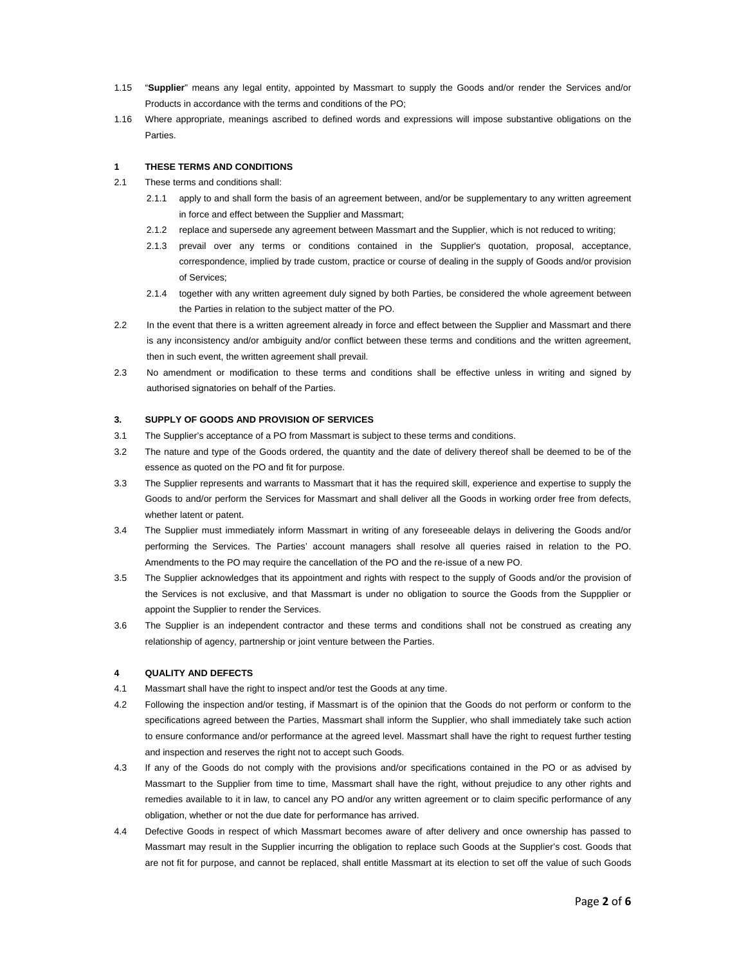- 1.15 "**Supplier**" means any legal entity, appointed by Massmart to supply the Goods and/or render the Services and/or Products in accordance with the terms and conditions of the PO;
- 1.16 Where appropriate, meanings ascribed to defined words and expressions will impose substantive obligations on the Parties.

## **1 THESE TERMS AND CONDITIONS**

- 2.1 These terms and conditions shall:
	- 2.1.1 apply to and shall form the basis of an agreement between, and/or be supplementary to any written agreement in force and effect between the Supplier and Massmart;
	- 2.1.2 replace and supersede any agreement between Massmart and the Supplier, which is not reduced to writing;
	- 2.1.3 prevail over any terms or conditions contained in the Supplier's quotation, proposal, acceptance, correspondence, implied by trade custom, practice or course of dealing in the supply of Goods and/or provision of Services;
	- 2.1.4 together with any written agreement duly signed by both Parties, be considered the whole agreement between the Parties in relation to the subject matter of the PO.
- 2.2 In the event that there is a written agreement already in force and effect between the Supplier and Massmart and there is any inconsistency and/or ambiguity and/or conflict between these terms and conditions and the written agreement, then in such event, the written agreement shall prevail.
- 2.3 No amendment or modification to these terms and conditions shall be effective unless in writing and signed by authorised signatories on behalf of the Parties.

### **3. SUPPLY OF GOODS AND PROVISION OF SERVICES**

- 3.1 The Supplier's acceptance of a PO from Massmart is subject to these terms and conditions.
- 3.2 The nature and type of the Goods ordered, the quantity and the date of delivery thereof shall be deemed to be of the essence as quoted on the PO and fit for purpose.
- 3.3 The Supplier represents and warrants to Massmart that it has the required skill, experience and expertise to supply the Goods to and/or perform the Services for Massmart and shall deliver all the Goods in working order free from defects, whether latent or patent.
- 3.4 The Supplier must immediately inform Massmart in writing of any foreseeable delays in delivering the Goods and/or performing the Services. The Parties' account managers shall resolve all queries raised in relation to the PO. Amendments to the PO may require the cancellation of the PO and the re-issue of a new PO.
- 3.5 The Supplier acknowledges that its appointment and rights with respect to the supply of Goods and/or the provision of the Services is not exclusive, and that Massmart is under no obligation to source the Goods from the Suppplier or appoint the Supplier to render the Services.
- 3.6 The Supplier is an independent contractor and these terms and conditions shall not be construed as creating any relationship of agency, partnership or joint venture between the Parties.

## **4 QUALITY AND DEFECTS**

- 4.1 Massmart shall have the right to inspect and/or test the Goods at any time.
- 4.2 Following the inspection and/or testing, if Massmart is of the opinion that the Goods do not perform or conform to the specifications agreed between the Parties, Massmart shall inform the Supplier, who shall immediately take such action to ensure conformance and/or performance at the agreed level. Massmart shall have the right to request further testing and inspection and reserves the right not to accept such Goods.
- 4.3 If any of the Goods do not comply with the provisions and/or specifications contained in the PO or as advised by Massmart to the Supplier from time to time, Massmart shall have the right, without prejudice to any other rights and remedies available to it in law, to cancel any PO and/or any written agreement or to claim specific performance of any obligation, whether or not the due date for performance has arrived.
- 4.4 Defective Goods in respect of which Massmart becomes aware of after delivery and once ownership has passed to Massmart may result in the Supplier incurring the obligation to replace such Goods at the Supplier's cost. Goods that are not fit for purpose, and cannot be replaced, shall entitle Massmart at its election to set off the value of such Goods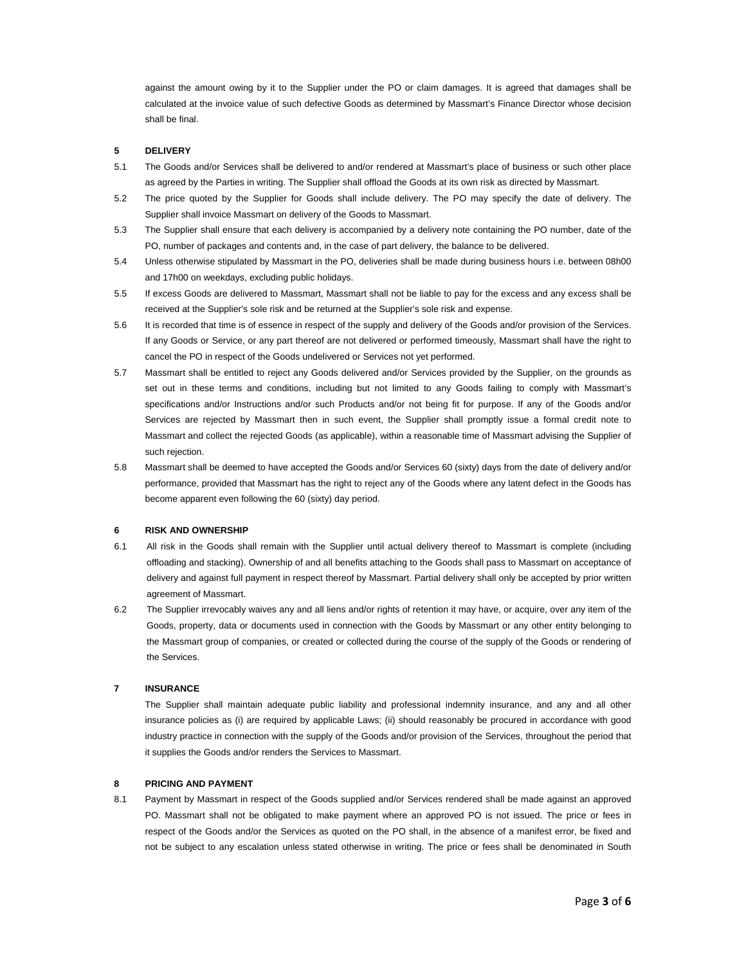against the amount owing by it to the Supplier under the PO or claim damages. It is agreed that damages shall be calculated at the invoice value of such defective Goods as determined by Massmart's Finance Director whose decision shall be final.

## **5 DELIVERY**

- 5.1 The Goods and/or Services shall be delivered to and/or rendered at Massmart's place of business or such other place as agreed by the Parties in writing. The Supplier shall offload the Goods at its own risk as directed by Massmart.
- 5.2 The price quoted by the Supplier for Goods shall include delivery. The PO may specify the date of delivery. The Supplier shall invoice Massmart on delivery of the Goods to Massmart.
- 5.3 The Supplier shall ensure that each delivery is accompanied by a delivery note containing the PO number, date of the PO, number of packages and contents and, in the case of part delivery, the balance to be delivered.
- 5.4 Unless otherwise stipulated by Massmart in the PO, deliveries shall be made during business hours i.e. between 08h00 and 17h00 on weekdays, excluding public holidays.
- 5.5 If excess Goods are delivered to Massmart, Massmart shall not be liable to pay for the excess and any excess shall be received at the Supplier's sole risk and be returned at the Supplier's sole risk and expense.
- 5.6 It is recorded that time is of essence in respect of the supply and delivery of the Goods and/or provision of the Services. If any Goods or Service, or any part thereof are not delivered or performed timeously, Massmart shall have the right to cancel the PO in respect of the Goods undelivered or Services not yet performed.
- 5.7 Massmart shall be entitled to reject any Goods delivered and/or Services provided by the Supplier, on the grounds as set out in these terms and conditions, including but not limited to any Goods failing to comply with Massmart's specifications and/or Instructions and/or such Products and/or not being fit for purpose. If any of the Goods and/or Services are rejected by Massmart then in such event, the Supplier shall promptly issue a formal credit note to Massmart and collect the rejected Goods (as applicable), within a reasonable time of Massmart advising the Supplier of such rejection.
- 5.8 Massmart shall be deemed to have accepted the Goods and/or Services 60 (sixty) days from the date of delivery and/or performance, provided that Massmart has the right to reject any of the Goods where any latent defect in the Goods has become apparent even following the 60 (sixty) day period.

### **6 RISK AND OWNERSHIP**

- 6.1 All risk in the Goods shall remain with the Supplier until actual delivery thereof to Massmart is complete (including offloading and stacking). Ownership of and all benefits attaching to the Goods shall pass to Massmart on acceptance of delivery and against full payment in respect thereof by Massmart. Partial delivery shall only be accepted by prior written agreement of Massmart.
- 6.2 The Supplier irrevocably waives any and all liens and/or rights of retention it may have, or acquire, over any item of the Goods, property, data or documents used in connection with the Goods by Massmart or any other entity belonging to the Massmart group of companies, or created or collected during the course of the supply of the Goods or rendering of the Services.

## **7 INSURANCE**

The Supplier shall maintain adequate public liability and professional indemnity insurance, and any and all other insurance policies as (i) are required by applicable Laws; (ii) should reasonably be procured in accordance with good industry practice in connection with the supply of the Goods and/or provision of the Services, throughout the period that it supplies the Goods and/or renders the Services to Massmart.

## **8 PRICING AND PAYMENT**

8.1 Payment by Massmart in respect of the Goods supplied and/or Services rendered shall be made against an approved PO. Massmart shall not be obligated to make payment where an approved PO is not issued. The price or fees in respect of the Goods and/or the Services as quoted on the PO shall, in the absence of a manifest error, be fixed and not be subject to any escalation unless stated otherwise in writing. The price or fees shall be denominated in South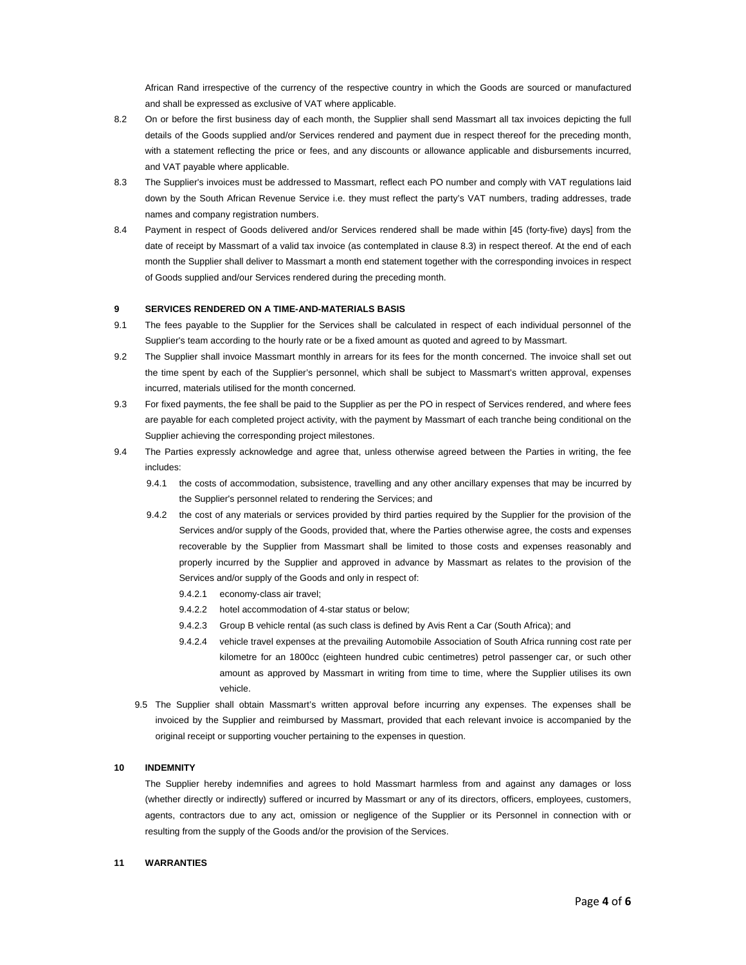African Rand irrespective of the currency of the respective country in which the Goods are sourced or manufactured and shall be expressed as exclusive of VAT where applicable.

- 8.2 On or before the first business day of each month, the Supplier shall send Massmart all tax invoices depicting the full details of the Goods supplied and/or Services rendered and payment due in respect thereof for the preceding month, with a statement reflecting the price or fees, and any discounts or allowance applicable and disbursements incurred, and VAT payable where applicable.
- 8.3 The Supplier's invoices must be addressed to Massmart, reflect each PO number and comply with VAT regulations laid down by the South African Revenue Service i.e. they must reflect the party's VAT numbers, trading addresses, trade names and company registration numbers.
- 8.4 Payment in respect of Goods delivered and/or Services rendered shall be made within [45 (forty-five) days] from the date of receipt by Massmart of a valid tax invoice (as contemplated in clause 8.3) in respect thereof. At the end of each month the Supplier shall deliver to Massmart a month end statement together with the corresponding invoices in respect of Goods supplied and/our Services rendered during the preceding month.

## **9 SERVICES RENDERED ON A TIME-AND-MATERIALS BASIS**

- 9.1 The fees payable to the Supplier for the Services shall be calculated in respect of each individual personnel of the Supplier's team according to the hourly rate or be a fixed amount as quoted and agreed to by Massmart.
- 9.2 The Supplier shall invoice Massmart monthly in arrears for its fees for the month concerned. The invoice shall set out the time spent by each of the Supplier's personnel, which shall be subject to Massmart's written approval, expenses incurred, materials utilised for the month concerned.
- 9.3 For fixed payments, the fee shall be paid to the Supplier as per the PO in respect of Services rendered, and where fees are payable for each completed project activity, with the payment by Massmart of each tranche being conditional on the Supplier achieving the corresponding project milestones.
- 9.4 The Parties expressly acknowledge and agree that, unless otherwise agreed between the Parties in writing, the fee includes:
	- 9.4.1 the costs of accommodation, subsistence, travelling and any other ancillary expenses that may be incurred by the Supplier's personnel related to rendering the Services; and
	- 9.4.2 the cost of any materials or services provided by third parties required by the Supplier for the provision of the Services and/or supply of the Goods, provided that, where the Parties otherwise agree, the costs and expenses recoverable by the Supplier from Massmart shall be limited to those costs and expenses reasonably and properly incurred by the Supplier and approved in advance by Massmart as relates to the provision of the Services and/or supply of the Goods and only in respect of:
		- 9.4.2.1 economy-class air travel;
		- 9.4.2.2 hotel accommodation of 4-star status or below;
		- 9.4.2.3 Group B vehicle rental (as such class is defined by Avis Rent a Car (South Africa); and
		- 9.4.2.4 vehicle travel expenses at the prevailing Automobile Association of South Africa running cost rate per kilometre for an 1800cc (eighteen hundred cubic centimetres) petrol passenger car, or such other amount as approved by Massmart in writing from time to time, where the Supplier utilises its own vehicle.
	- 9.5 The Supplier shall obtain Massmart's written approval before incurring any expenses. The expenses shall be invoiced by the Supplier and reimbursed by Massmart, provided that each relevant invoice is accompanied by the original receipt or supporting voucher pertaining to the expenses in question.

#### **10 INDEMNITY**

The Supplier hereby indemnifies and agrees to hold Massmart harmless from and against any damages or loss (whether directly or indirectly) suffered or incurred by Massmart or any of its directors, officers, employees, customers, agents, contractors due to any act, omission or negligence of the Supplier or its Personnel in connection with or resulting from the supply of the Goods and/or the provision of the Services.

## **11 WARRANTIES**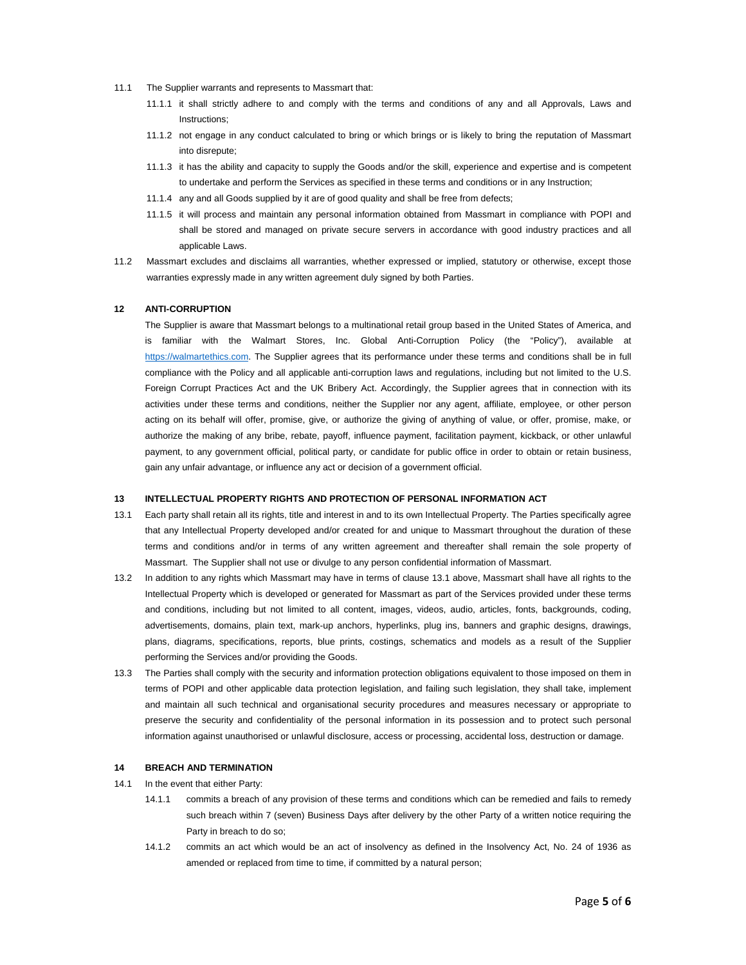- 11.1 The Supplier warrants and represents to Massmart that:
	- 11.1.1 it shall strictly adhere to and comply with the terms and conditions of any and all Approvals, Laws and Instructions;
	- 11.1.2 not engage in any conduct calculated to bring or which brings or is likely to bring the reputation of Massmart into disrepute;
	- 11.1.3 it has the ability and capacity to supply the Goods and/or the skill, experience and expertise and is competent to undertake and perform the Services as specified in these terms and conditions or in any Instruction;
	- 11.1.4 any and all Goods supplied by it are of good quality and shall be free from defects;
	- 11.1.5 it will process and maintain any personal information obtained from Massmart in compliance with POPI and shall be stored and managed on private secure servers in accordance with good industry practices and all applicable Laws.
- 11.2 Massmart excludes and disclaims all warranties, whether expressed or implied, statutory or otherwise, except those warranties expressly made in any written agreement duly signed by both Parties.

#### **12 ANTI-CORRUPTION**

The Supplier is aware that Massmart belongs to a multinational retail group based in the United States of America, and is familiar with the Walmart Stores, Inc. Global Anti-Corruption Policy (the "Policy"), available at https://walmartethics.com. The Supplier agrees that its performance under these terms and conditions shall be in full compliance with the Policy and all applicable anti-corruption laws and regulations, including but not limited to the U.S. Foreign Corrupt Practices Act and the UK Bribery Act. Accordingly, the Supplier agrees that in connection with its activities under these terms and conditions, neither the Supplier nor any agent, affiliate, employee, or other person acting on its behalf will offer, promise, give, or authorize the giving of anything of value, or offer, promise, make, or authorize the making of any bribe, rebate, payoff, influence payment, facilitation payment, kickback, or other unlawful payment, to any government official, political party, or candidate for public office in order to obtain or retain business, gain any unfair advantage, or influence any act or decision of a government official.

#### **13 INTELLECTUAL PROPERTY RIGHTS AND PROTECTION OF PERSONAL INFORMATION ACT**

- 13.1 Each party shall retain all its rights, title and interest in and to its own Intellectual Property. The Parties specifically agree that any Intellectual Property developed and/or created for and unique to Massmart throughout the duration of these terms and conditions and/or in terms of any written agreement and thereafter shall remain the sole property of Massmart. The Supplier shall not use or divulge to any person confidential information of Massmart.
- 13.2 In addition to any rights which Massmart may have in terms of clause 13.1 above, Massmart shall have all rights to the Intellectual Property which is developed or generated for Massmart as part of the Services provided under these terms and conditions, including but not limited to all content, images, videos, audio, articles, fonts, backgrounds, coding, advertisements, domains, plain text, mark-up anchors, hyperlinks, plug ins, banners and graphic designs, drawings, plans, diagrams, specifications, reports, blue prints, costings, schematics and models as a result of the Supplier performing the Services and/or providing the Goods.
- 13.3 The Parties shall comply with the security and information protection obligations equivalent to those imposed on them in terms of POPI and other applicable data protection legislation, and failing such legislation, they shall take, implement and maintain all such technical and organisational security procedures and measures necessary or appropriate to preserve the security and confidentiality of the personal information in its possession and to protect such personal information against unauthorised or unlawful disclosure, access or processing, accidental loss, destruction or damage.

#### **14 BREACH AND TERMINATION**

- 14.1 In the event that either Party:
	- 14.1.1 commits a breach of any provision of these terms and conditions which can be remedied and fails to remedy such breach within 7 (seven) Business Days after delivery by the other Party of a written notice requiring the Party in breach to do so;
	- 14.1.2 commits an act which would be an act of insolvency as defined in the Insolvency Act, No. 24 of 1936 as amended or replaced from time to time, if committed by a natural person;